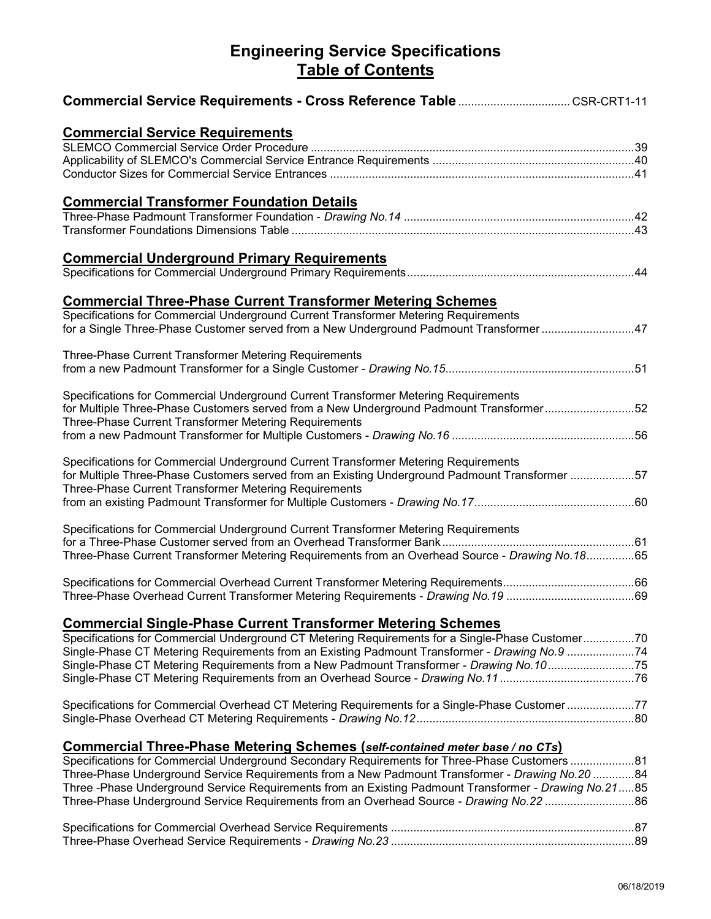## **Engineering Service Specifications Table of Contents**

| <b>Commercial Service Requirements</b>                                                                |  |
|-------------------------------------------------------------------------------------------------------|--|
|                                                                                                       |  |
|                                                                                                       |  |
|                                                                                                       |  |
| <b>Commercial Transformer Foundation Details</b>                                                      |  |
|                                                                                                       |  |
|                                                                                                       |  |
| <b>Commercial Underground Primary Requirements</b>                                                    |  |
|                                                                                                       |  |
| <b>Commercial Three-Phase Current Transformer Metering Schemes</b>                                    |  |
| Specifications for Commercial Underground Current Transformer Metering Requirements                   |  |
| for a Single Three-Phase Customer served from a New Underground Padmount Transformer 47               |  |
| Three-Phase Current Transformer Metering Requirements                                                 |  |
|                                                                                                       |  |
| Specifications for Commercial Underground Current Transformer Metering Requirements                   |  |
| for Multiple Three-Phase Customers served from a New Underground Padmount Transformer52               |  |
| Three-Phase Current Transformer Metering Requirements                                                 |  |
|                                                                                                       |  |
| Specifications for Commercial Underground Current Transformer Metering Requirements                   |  |
|                                                                                                       |  |
| Three-Phase Current Transformer Metering Requirements                                                 |  |
|                                                                                                       |  |
| Specifications for Commercial Underground Current Transformer Metering Requirements                   |  |
|                                                                                                       |  |
|                                                                                                       |  |
|                                                                                                       |  |
|                                                                                                       |  |
|                                                                                                       |  |
| <u>Commercial Single-Phase Current Transformer Metering Schemes</u>                                   |  |
| Specifications for Commercial Underground CT Metering Requirements for a Single-Phase Customer70      |  |
| Single-Phase CT Metering Requirements from an Existing Padmount Transformer - Drawing No.9 74         |  |
| Single-Phase CT Metering Requirements from a New Padmount Transformer - Drawing No.1075               |  |
|                                                                                                       |  |
| Specifications for Commercial Overhead CT Metering Requirements for a Single-Phase Customer77         |  |
|                                                                                                       |  |
| Commercial Three-Phase Metering Schemes (self-contained meter base / no CTs)                          |  |
|                                                                                                       |  |
| 8484 Thase Underground Service Requirements from a New Padmount Transformer - Drawing No.20           |  |
| Three -Phase Underground Service Requirements from an Existing Padmount Transformer - Drawing No.2185 |  |
|                                                                                                       |  |
|                                                                                                       |  |
|                                                                                                       |  |